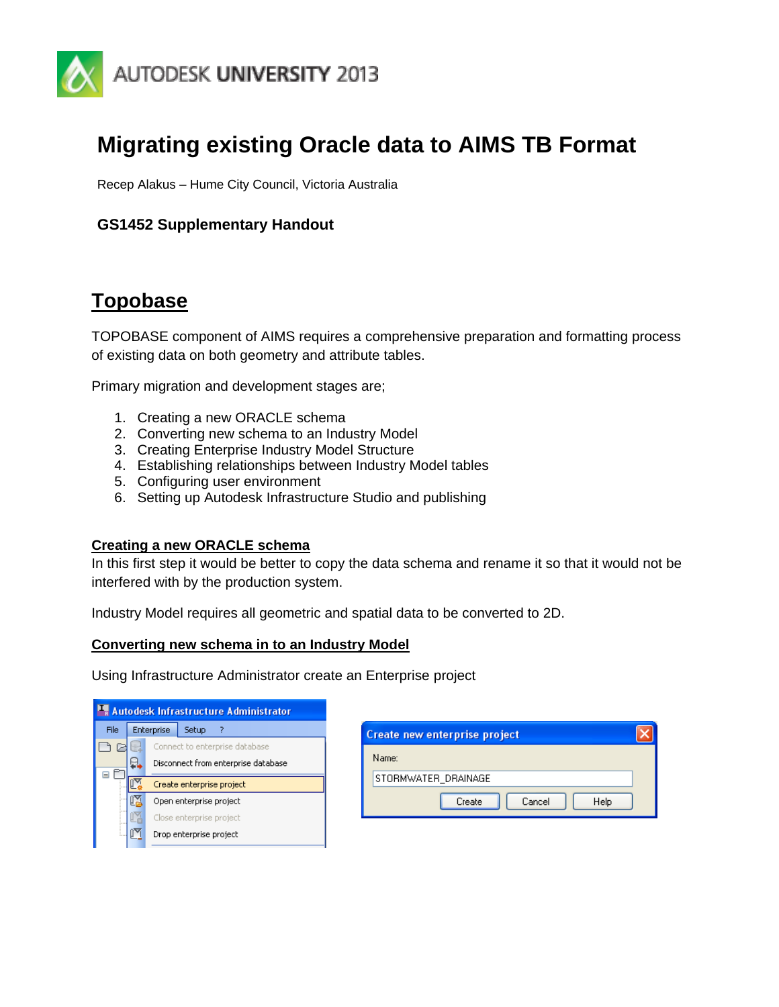

# **Migrating existing Oracle data to AIMS TB Format**

Recep Alakus – Hume City Council, Victoria Australia

# **GS1452 Supplementary Handout**

# **Topobase**

TOPOBASE component of AIMS requires a comprehensive preparation and formatting process of existing data on both geometry and attribute tables.

Primary migration and development stages are;

- 1. Creating a new ORACLE schema
- 2. Converting new schema to an Industry Model
- 3. Creating Enterprise Industry Model Structure
- 4. Establishing relationships between Industry Model tables
- 5. Configuring user environment
- 6. Setting up Autodesk Infrastructure Studio and publishing

#### **Creating a new ORACLE schema**

In this first step it would be better to copy the data schema and rename it so that it would not be interfered with by the production system.

Industry Model requires all geometric and spatial data to be converted to 2D.

#### **Converting new schema in to an Industry Model**

Using Infrastructure Administrator create an Enterprise project

| <b>Autodesk Infrastructure Administrator</b> |                          |            |                                     |  |  |  |  |
|----------------------------------------------|--------------------------|------------|-------------------------------------|--|--|--|--|
| File                                         |                          | Enterprise | Setup                               |  |  |  |  |
|                                              |                          |            | Connect to enterprise database      |  |  |  |  |
|                                              |                          |            | Disconnect from enterprise database |  |  |  |  |
|                                              |                          |            | Create enterprise project           |  |  |  |  |
|                                              | Open enterprise project  |            |                                     |  |  |  |  |
|                                              | Close enterprise project |            |                                     |  |  |  |  |
| Drop enterprise project                      |                          |            |                                     |  |  |  |  |
|                                              |                          |            |                                     |  |  |  |  |

| <b>Create new enterprise project</b> |  |  |  |  |  |
|--------------------------------------|--|--|--|--|--|
| Name:                                |  |  |  |  |  |
| STORMWATER_DRAINAGE                  |  |  |  |  |  |
| Help<br>Cancel<br>Create             |  |  |  |  |  |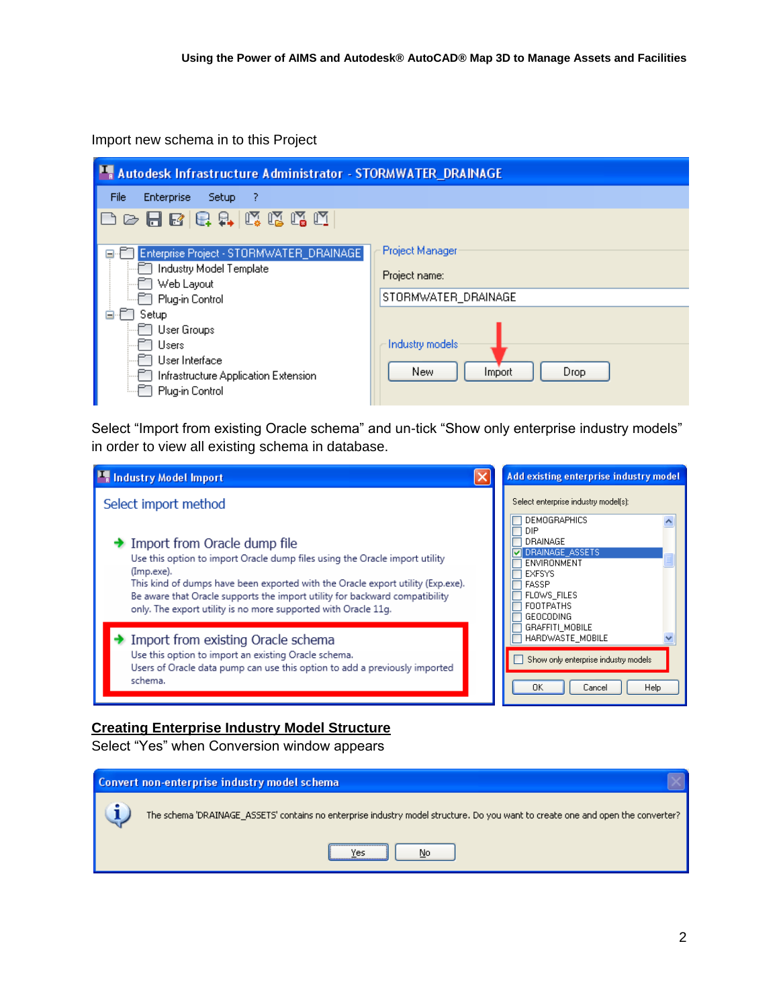Import new schema in to this Project

| <b>Autodesk Infrastructure Administrator - STORMWATER_DRAINAGE</b> |                       |  |  |  |  |  |
|--------------------------------------------------------------------|-----------------------|--|--|--|--|--|
| File<br><b>Enterprise</b><br>Setup.<br>- ?                         |                       |  |  |  |  |  |
| 口中日日日中成戊戊戌                                                         |                       |  |  |  |  |  |
| Enterprise Project - STORMWATER_DRAINAGE<br>$=$                    | Project Manager       |  |  |  |  |  |
| Industry Model Template                                            | Project name:         |  |  |  |  |  |
| Web Layout<br>FT Plug-in Control                                   | STORMWATER_DRAINAGE   |  |  |  |  |  |
| Setup                                                              |                       |  |  |  |  |  |
| - ∐ User Groups                                                    |                       |  |  |  |  |  |
| Users                                                              | Industry models       |  |  |  |  |  |
| User Interface                                                     |                       |  |  |  |  |  |
| Infrastructure Application Extension                               | New<br>Drop<br>Import |  |  |  |  |  |
| Plug-in Control                                                    |                       |  |  |  |  |  |

Select "Import from existing Oracle schema" and un-tick "Show only enterprise industry models" in order to view all existing schema in database.

| Industry Model Import                                                                                                                                                                                                                                                                                                                                         | Add existing enterprise industry model                                                                                                                  |
|---------------------------------------------------------------------------------------------------------------------------------------------------------------------------------------------------------------------------------------------------------------------------------------------------------------------------------------------------------------|---------------------------------------------------------------------------------------------------------------------------------------------------------|
| Select import method                                                                                                                                                                                                                                                                                                                                          | Select enterprise industry model(s):<br><b>DEMOGRAPHICS</b>                                                                                             |
| Import from Oracle dump file<br>Use this option to import Oracle dump files using the Oracle import utility<br>(Imp.exe).<br>This kind of dumps have been exported with the Oracle export utility (Exp.exe).<br>Be aware that Oracle supports the import utility for backward compatibility<br>only. The export utility is no more supported with Oracle 11g. | DIP<br><b>DRAINAGE</b><br><b>DRAINAGE ASSETS</b><br>ENVIRONMENT<br><b>EXFSYS</b><br><b>FASSP</b><br>FLOWS FILES<br><b>FOOTPATHS</b><br><b>GEOCODING</b> |
| $\rightarrow$ Import from existing Oracle schema<br>Use this option to import an existing Oracle schema.<br>Users of Oracle data pump can use this option to add a previously imported<br>schema.                                                                                                                                                             | GRAFFITI_MOBILE<br>HARDWASTE MOBILE<br>Show only enterprise industry models<br><b>OK</b><br>Help<br>Cancel                                              |

# **Creating Enterprise Industry Model Structure**

Select "Yes" when Conversion window appears

| Convert non-enterprise industry model schema                                                                                    |
|---------------------------------------------------------------------------------------------------------------------------------|
| The schema 'DRAINAGE_ASSETS' contains no enterprise industry model structure. Do you want to create one and open the converter? |
| No                                                                                                                              |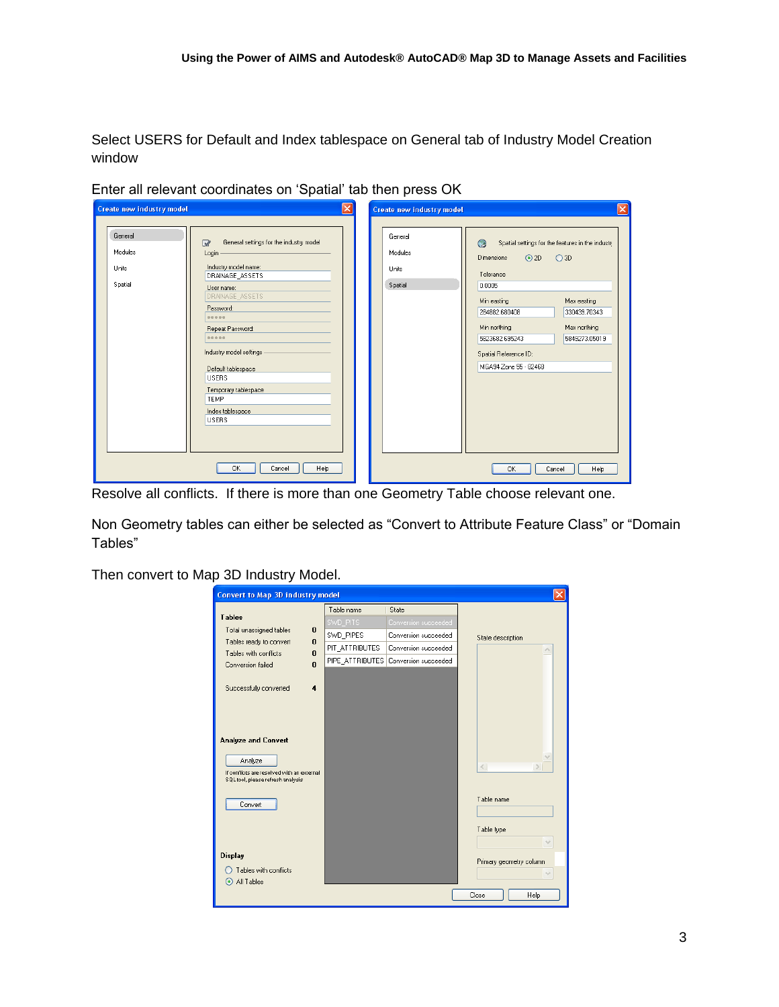Select USERS for Default and Index tablespace on General tab of Industry Model Creation window

| <b>Create new industry model</b>       |                                                                                                                                                                                                                                                                                                                                                    | $ \mathsf{x} $ | Create new industry model                     |                                                                                                                                                                                                                                            | $\vert\mathsf{x}\vert$                                              |
|----------------------------------------|----------------------------------------------------------------------------------------------------------------------------------------------------------------------------------------------------------------------------------------------------------------------------------------------------------------------------------------------------|----------------|-----------------------------------------------|--------------------------------------------------------------------------------------------------------------------------------------------------------------------------------------------------------------------------------------------|---------------------------------------------------------------------|
| General<br>Modules<br>Units<br>Spatial | General settings for the industry model<br>$\overline{\mathscr{L}}$<br>Login<br>Industry model name:<br>DRAINAGE_ASSETS<br>User name:<br>DRAINAGE_ASSETS<br>Password:<br>00000<br>Repeat Password:<br><br>Industry model settings<br>Default tablespace<br><b>USERS</b><br>Temporary tablespace<br><b>TEMP</b><br>Index tablespace<br><b>USERS</b> |                | General<br>Modules<br><b>Units</b><br>Spatial | $\odot$<br>Spatial settings for the features in the industry<br>$\odot$ 2D<br><b>Dimensions</b><br>Tolerance<br>0.0005<br>Min easting<br>284882.680408<br>Min northing<br>5823682.695243<br>Spatial Reference ID:<br>MGA94 Zone 55 - 82468 | O3D<br>Max easting<br>330439.70343<br>Max northing<br>5849273.05019 |
|                                        | Help<br>0K<br>Cancel                                                                                                                                                                                                                                                                                                                               |                |                                               | 0K<br>Cancel                                                                                                                                                                                                                               | Help                                                                |

Enter all relevant coordinates on 'Spatial' tab then press OK

Resolve all conflicts. If there is more than one Geometry Table choose relevant one.

Non Geometry tables can either be selected as "Convert to Attribute Feature Class" or "Domain Tables"

Then convert to Map 3D Industry Model.

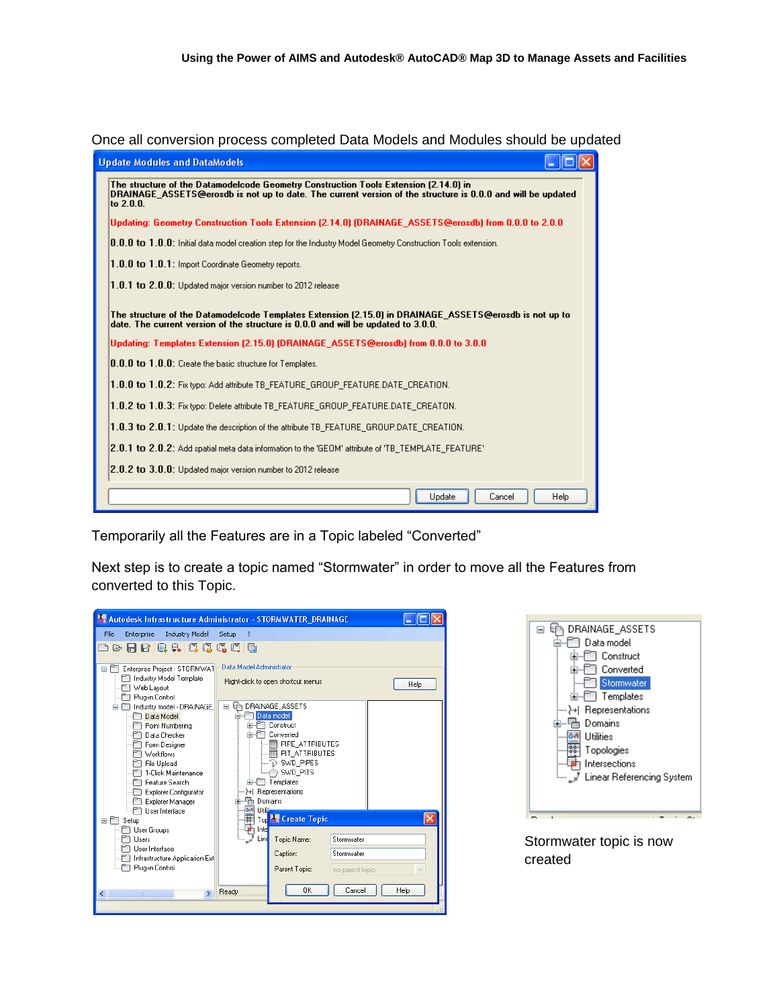Once all conversion process completed Data Models and Modules should be updated

| <b>Update Modules and DataModels</b>                                                                                                                                                                             |  |  |  |  |  |  |
|------------------------------------------------------------------------------------------------------------------------------------------------------------------------------------------------------------------|--|--|--|--|--|--|
| The structure of the Datamodelcode Geometry Construction Tools Extension (2.14.0) in<br>DRAINAGE ASSETS@erosdb is not up to date. The current version of the structure is 0.0.0 and will be updated<br>to 2.0.0. |  |  |  |  |  |  |
| Updating: Geometry Construction Tools Extension (2.14.0) (DRAINAGE_ASSETS@erosdb) from 0.0.0 to 2.0.0                                                                                                            |  |  |  |  |  |  |
| 0.0.0 to 1.0.0: Initial data model creation step for the Industry Model Geometry Construction Tools extension.                                                                                                   |  |  |  |  |  |  |
| 1.0.0 to 1.0.1: Import Coordinate Geometry reports.                                                                                                                                                              |  |  |  |  |  |  |
| $1.0.1$ to $2.0.0$ : Updated major version number to 2012 release                                                                                                                                                |  |  |  |  |  |  |
| The structure of the Datamodelcode Templates Extension (2.15.0) in DRAINAGE ASSETS@erosdb is not up to<br>date. The current version of the structure is 0.0.0 and will be updated to 3.0.0.                      |  |  |  |  |  |  |
| Updating: Templates Extension (2.15.0) (DRAINAGE_ASSETS@erosdb) from 0.0.0 to 3.0.0                                                                                                                              |  |  |  |  |  |  |
| 0.0.0 to 1.0.0: Create the basic structure for Templates.                                                                                                                                                        |  |  |  |  |  |  |
| 1.0.0 to 1.0.2: Fix typo: Add attribute TB FEATURE GROUP FEATURE.DATE CREATION.                                                                                                                                  |  |  |  |  |  |  |
| 1.0.2 to 1.0.3: Fix typo: Delete attribute TB_FEATURE_GROUP_FEATURE.DATE_CREATON.                                                                                                                                |  |  |  |  |  |  |
| 1.0.3 to 2.0.1: Update the description of the attribute TB_FEATURE_GROUP.DATE_CREATION.                                                                                                                          |  |  |  |  |  |  |
| $[2.0.1\;{\rm to}\;2.0.2)$ : Add spatial meta data information to the 'GEOM' attribute of 'TB_TEMPLATE_FEATURE'                                                                                                  |  |  |  |  |  |  |
| $[2.0.2$ to $3.0.0$ : Updated major version number to 2012 release                                                                                                                                               |  |  |  |  |  |  |
| Update<br>Cancel<br>Help                                                                                                                                                                                         |  |  |  |  |  |  |

Temporarily all the Features are in a Topic labeled "Converted"

Next step is to create a topic named "Stormwater" in order to move all the Features from converted to this Topic.

| Autodesk Infrastructure Administrator - STORMWATER_DRAINAGE                                                                                                                                                                                                                                                                                                                                                                                                                                               |                                                                                                                                         |                                                                                                                                                                                                                                                                                                                         |                                                   |  |  |  |  |
|-----------------------------------------------------------------------------------------------------------------------------------------------------------------------------------------------------------------------------------------------------------------------------------------------------------------------------------------------------------------------------------------------------------------------------------------------------------------------------------------------------------|-----------------------------------------------------------------------------------------------------------------------------------------|-------------------------------------------------------------------------------------------------------------------------------------------------------------------------------------------------------------------------------------------------------------------------------------------------------------------------|---------------------------------------------------|--|--|--|--|
| Enterprise<br><b>Industry Model</b><br>File<br>中日日日中戊戊戊戊戊<br>Enterprise Project - STORMWAT<br>e-Fi<br>Industry Model Template<br>Web Layout<br>Plug-in Control<br>Industry model - DRAINAGE<br>Data Model<br>Point Numbering<br>Data Checker<br>Form Designer<br><b>Workflows</b><br>File Upload<br>1-Click Maintenance<br>Feature Search<br>Explorer Configurator<br>Explorer Manager<br>Hser Interface<br>Setup<br>a<br>User Groups<br><b>Users</b><br>User Interface<br>Infrastructure Application Exl | Setup<br>-7<br>Data Model Administrator<br>ΕÈ<br>$\equiv$<br>o-a<br>Utilia<br>$\triangle$<br>$80 - 80$<br>Inte<br>ե… _ <i>ջ</i><br>Lind | Right-click to open shortcut menus<br>DRAINAGE ASSETS<br>Data model<br><b>⊞</b> Construct<br>Converted<br><b>THE PIPE ATTRIBUTES</b><br><b>R</b> PIT ATTRIBUTES<br>D SWD PIPES<br>SWD PITS<br><b>E</b> -P Templates<br>> Representations<br>Domains<br><b>Tor<sup>PL</sup>R</b> Create Topic<br>Topic Name:<br>Caption: | Help<br>Stormwater<br>Stormwater                  |  |  |  |  |
| Plug-in Control<br>$\rightarrow$<br>m<br>∢                                                                                                                                                                                                                                                                                                                                                                                                                                                                | Ready                                                                                                                                   | Parent Topic:<br><b>DK</b>                                                                                                                                                                                                                                                                                              | no parent topic<br>$\checkmark$<br>Cancel<br>Help |  |  |  |  |
|                                                                                                                                                                                                                                                                                                                                                                                                                                                                                                           |                                                                                                                                         |                                                                                                                                                                                                                                                                                                                         |                                                   |  |  |  |  |



Stormwater topic is now created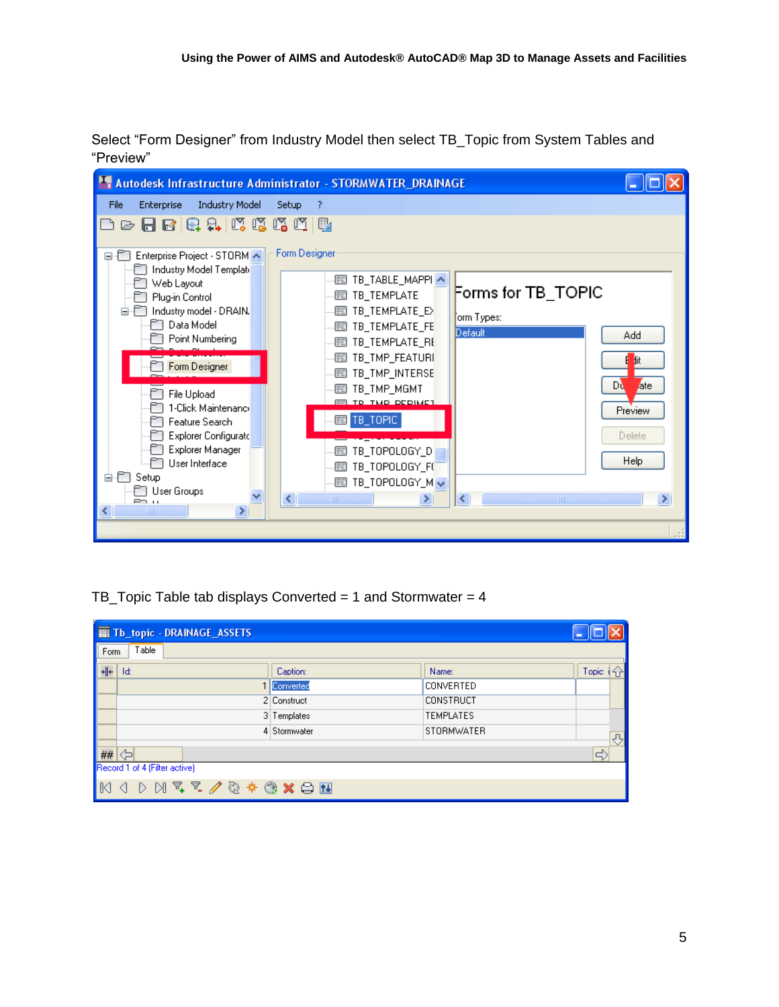Select "Form Designer" from Industry Model then select TB\_Topic from System Tables and "Preview"

| Autodesk Infrastructure Administrator - STORMWATER_DRAINAGE                                                                                                                                                                                                                                                                                                                                                                                                                                                                                                                                                                                                                                                                                                                                                            |                                                                                                                            |
|------------------------------------------------------------------------------------------------------------------------------------------------------------------------------------------------------------------------------------------------------------------------------------------------------------------------------------------------------------------------------------------------------------------------------------------------------------------------------------------------------------------------------------------------------------------------------------------------------------------------------------------------------------------------------------------------------------------------------------------------------------------------------------------------------------------------|----------------------------------------------------------------------------------------------------------------------------|
| <b>Industry Model</b><br>File<br><b>Setup</b><br>Enterprise<br>7                                                                                                                                                                                                                                                                                                                                                                                                                                                                                                                                                                                                                                                                                                                                                       |                                                                                                                            |
| 6日5日中成戊戊戊醇                                                                                                                                                                                                                                                                                                                                                                                                                                                                                                                                                                                                                                                                                                                                                                                                             |                                                                                                                            |
| Form Designer<br>Enterprise Project - STORM A<br>840<br>Industry Model Templati<br>图 TB_TABLE_MAPPI ^<br>Web Layout<br><b>图 TB_TEMPLATE</b><br>Plug-in Control<br><b>國 TB_TEMPLATE_E&gt;</b><br>Industry model - DRAIN.<br>∫orm Types:<br>├─ Data Model<br>图 TB_TEMPLATE_FE<br>Default<br>Point Numbering<br>图 TB TEMPLATE RE<br>图 TB_TMP_FEATURI<br>Form Designer<br>图 TB_TMP_INTERSE<br><i>图</i> TB_TMP_MGMT<br>File Upload<br><b>ER TO TMD DEDIMET</b><br>1-Click Maintenanci<br>■ TB_TOPIC  <br>Feature Search<br>Explorer Configurate<br>Explorer Manager<br><i></i> TB_TOPOLOGY_D<br>User Interface<br>圙 TB_TOPOLOGY_F(<br>.PT<br>Setup<br>Ė.<br>$\equiv$ TB_TOPOLOGY_M $\sim$<br>□ User Groups<br>$\left\vert \cdot \right\rangle$<br>$\rm HII$<br>≯<br>≺<br><b>PD U</b><br>$\rightarrow$<br>≺∣<br><b>TITLE</b> | Forms for TB_TOPIC<br>Add<br>fit.<br>Dù<br>ate<br><b>Preview</b><br>Delete<br>Help<br>$\mathop{\mathrm{HH}}\nolimits$<br>≯ |

TB\_Topic Table tab displays Converted = 1 and Stormwater = 4

|      | <b>THE Tb_topic - DRAINAGE_ASSETS</b> |              |                  |        |      |
|------|---------------------------------------|--------------|------------------|--------|------|
| Form | Table                                 |              |                  |        |      |
| →∥←  | Id:                                   | Caption:     | Name:            | Topic: | 14 P |
|      |                                       | 1 Converted  | <b>CONVERTED</b> |        |      |
|      |                                       | 2 Construct  | <b>CONSTRUCT</b> |        |      |
|      |                                       | 3 Templates  | <b>TEMPLATES</b> |        |      |
|      |                                       | 4 Stormwater | STORMWATER       |        | ⇩    |
| ##   | kы                                    |              |                  | c)     |      |
|      | Record 1 of 4 (Filter active)         |              |                  |        |      |
| IM   | <b>D D T T / @ * @ X 8 N</b>          |              |                  |        |      |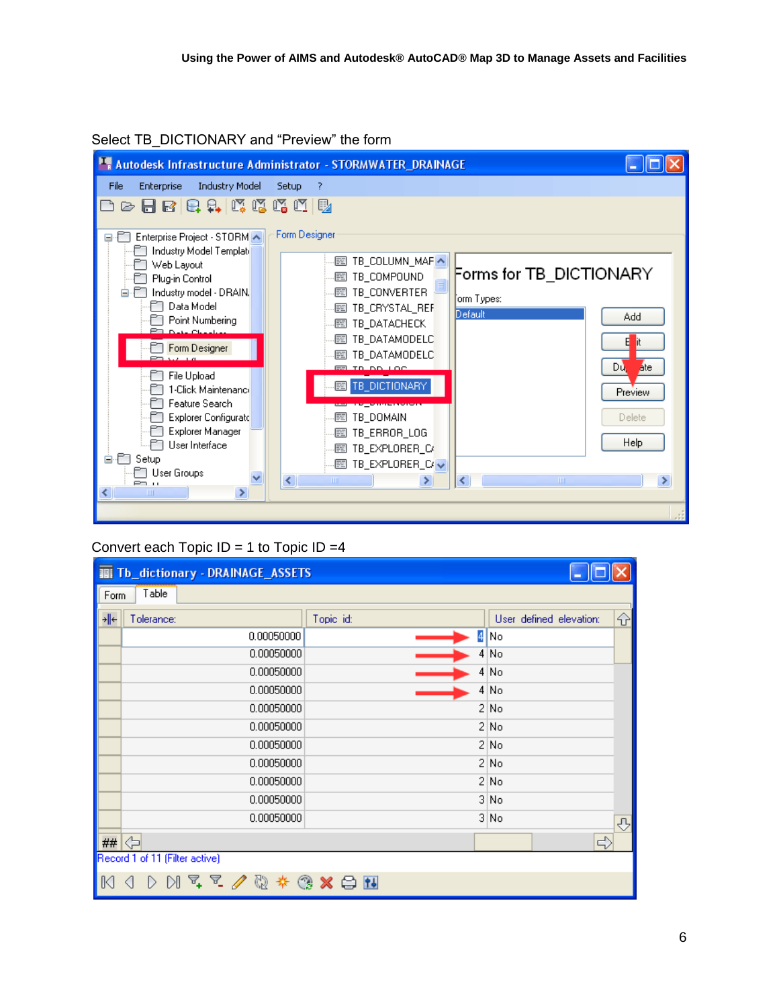



## Convert each Topic  $ID = 1$  to Topic  $ID = 4$

|      |                                | <b>图 Tb_dictionary - DRAINAGE_ASSETS</b> |           |                  |                         |   |
|------|--------------------------------|------------------------------------------|-----------|------------------|-------------------------|---|
| Form | Table                          |                                          |           |                  |                         |   |
| →∥←  | Tolerance:                     |                                          | Topic id: |                  | User defined elevation: | 슈 |
|      |                                | 0.00050000                               |           | 4 No             |                         |   |
|      |                                | 0.00050000                               |           | 4 No             |                         |   |
|      |                                | 0.00050000                               |           | 4 No             |                         |   |
|      |                                | 0.00050000                               |           | 4 N <sub>O</sub> |                         |   |
|      |                                | 0.00050000                               |           | 2 No             |                         |   |
|      |                                | 0.00050000                               |           | 2 No             |                         |   |
|      |                                | 0.00050000                               |           | 2 No             |                         |   |
|      |                                | 0.00050000                               |           | 2 No             |                         |   |
|      |                                | 0.00050000                               |           | 2 No             |                         |   |
|      |                                | 0.00050000                               |           | 3 No             |                         |   |
|      |                                | 0.00050000                               |           | 3 No             |                         | ⊕ |
| ##   | ⇦                              |                                          |           |                  | ⇨                       |   |
|      | Record 1 of 11 (Filter active) |                                          |           |                  |                         |   |
|      |                                |                                          |           |                  |                         |   |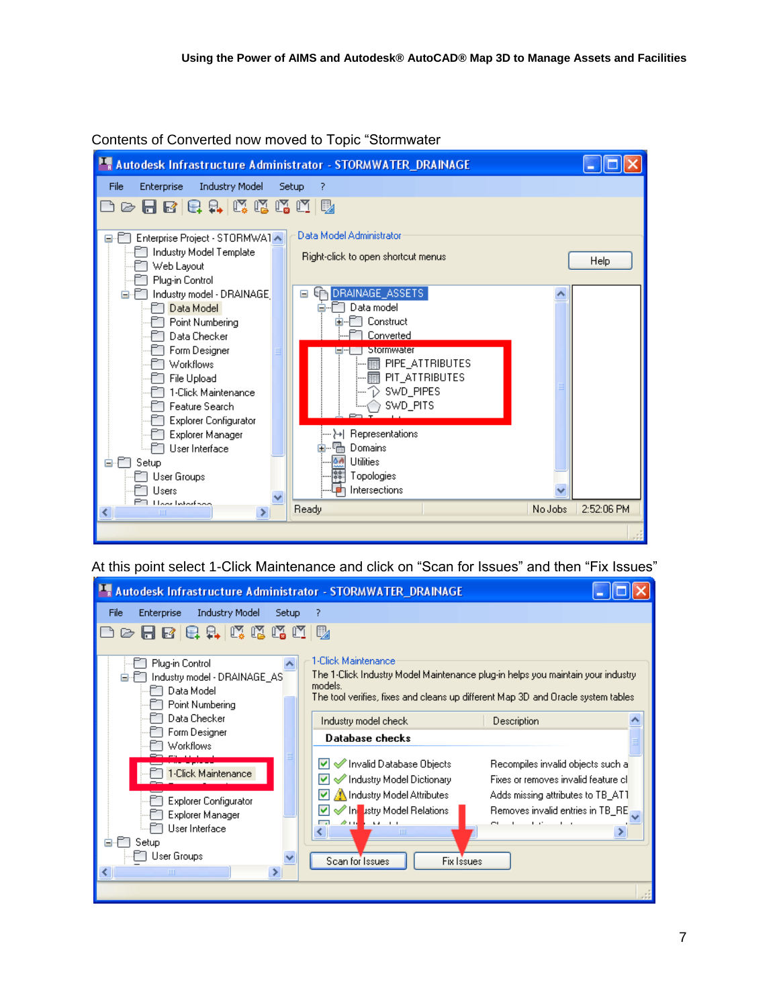

Contents of Converted now moved to Topic "Stormwater

At this point select 1-Click Maintenance and click on "Scan for Issues" and then "Fix Issues"

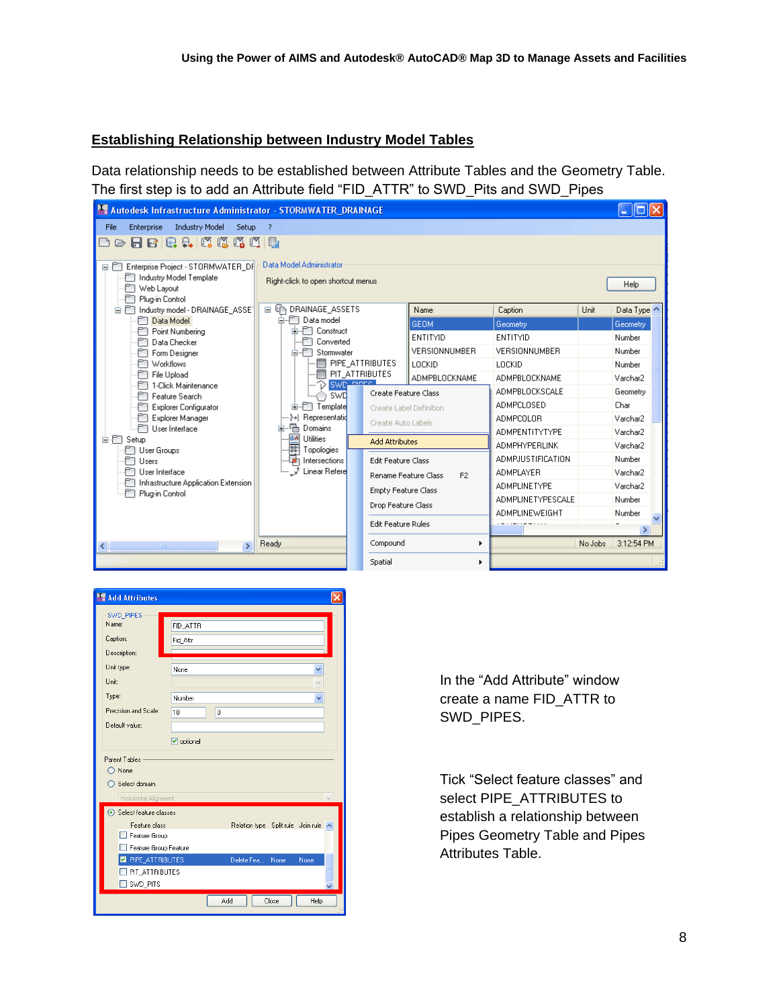## **Establishing Relationship between Industry Model Tables**

Data relationship needs to be established between Attribute Tables and the Geometry Table. The first step is to add an Attribute field "FID\_ATTR" to SWD\_Pits and SWD\_Pipes

| Autodesk Infrastructure Administrator - STORMWATER_DRAINAGE                                                                                                                                                                                                                                                                                                                                                                                                                                                            |                                                                                                                                                                                                                                                                                                                                                                                                                                              |  |                                                                                                                                                                            |                                                                                                             |                                                                                                                                                                                                                                                                       |         |                                                                                                                                                                     |  |  |  |
|------------------------------------------------------------------------------------------------------------------------------------------------------------------------------------------------------------------------------------------------------------------------------------------------------------------------------------------------------------------------------------------------------------------------------------------------------------------------------------------------------------------------|----------------------------------------------------------------------------------------------------------------------------------------------------------------------------------------------------------------------------------------------------------------------------------------------------------------------------------------------------------------------------------------------------------------------------------------------|--|----------------------------------------------------------------------------------------------------------------------------------------------------------------------------|-------------------------------------------------------------------------------------------------------------|-----------------------------------------------------------------------------------------------------------------------------------------------------------------------------------------------------------------------------------------------------------------------|---------|---------------------------------------------------------------------------------------------------------------------------------------------------------------------|--|--|--|
| <b>Industry Model</b><br>File<br>Enterprise<br>Setup                                                                                                                                                                                                                                                                                                                                                                                                                                                                   | 7                                                                                                                                                                                                                                                                                                                                                                                                                                            |  |                                                                                                                                                                            |                                                                                                             |                                                                                                                                                                                                                                                                       |         |                                                                                                                                                                     |  |  |  |
| 유<br>K K<br>$\mathbb{N} \mathbb{M}$<br>Q.<br>ы<br>$\mathbf{E}$                                                                                                                                                                                                                                                                                                                                                                                                                                                         | B,                                                                                                                                                                                                                                                                                                                                                                                                                                           |  |                                                                                                                                                                            |                                                                                                             |                                                                                                                                                                                                                                                                       |         |                                                                                                                                                                     |  |  |  |
| Enterprise Project - STORMWATER DF<br>e-Fi<br>ndustry Model Template<br>Web Layout<br>Plug-in Control<br>é fi<br>Industry model - DRAINAGE_ASSE®<br><b>PT</b> Data Model<br>Point Numbering<br><b>FT</b> Data Checker<br>Form Designer<br>Morkflows<br>File Upload<br>1-Click Maintenance<br>Feature Search<br>m<br><b>Explorer Configurator</b><br>Explorer Manager<br>Liser Interface<br>é M<br>Setup<br>F∏ User Groups<br>m<br>Lisers<br>User Interface<br>Infrastructure Application Extension.<br>Plug-in Control | Data Model Administrator<br>Right-click to open shortcut menus<br><b>En DRAINAGE ASSETS</b><br>$\equiv$<br>⊟-FT Data model<br><b>E</b> -FI Construct<br>Converted<br>é fo<br>Stormwater<br><b>THE PIPE_ATTRIBUTES</b><br>丽 PIT ATTRIBUTES<br>SWD pipers<br>T)<br><b>SWD</b><br><b>E</b> -FIT Template<br>-- }→  Representatid<br>o T.<br>Domains<br><b>AA</b><br><b>Utilities</b><br>$-88$<br>Topologies<br>Intersections<br>J Linear Refere |  | Create Feature Class<br>Create Label Definition<br>Create Auto Labels<br><b>Add Attributes</b><br>Edit Feature Class<br>Rename Feature Class<br><b>Empty Feature Class</b> | Name<br><b>GEOM</b><br><b>FNTITYID</b><br><b>VERSIONNUMBER</b><br>LOCKID<br>ADMPBLOCKNAME<br>F <sub>2</sub> | Caption<br>Geometry<br>ENTITYID<br><b>VERSIONNUMBER</b><br>LOCKID<br>ADMPBLOCKNAME<br>ADMPBLOCKSCALE<br><b>ADMPCLOSED</b><br><b>ADMPCOLOR</b><br><b>ADMPENTITYTYPE</b><br><b>ADMPHYPERLINK</b><br><b>ADMPJUSTIFICATION</b><br><b>ADMPLAYER</b><br><b>ADMPLINETYPE</b> | Unit    | Help<br>Data Type ^<br>Geometry<br>Number<br>Number<br>Number<br>Varchar2<br>Geometry<br>Char<br>Varchar2<br>Varchar2<br>Varchar2<br>Number<br>Varchar2<br>Varchar2 |  |  |  |
|                                                                                                                                                                                                                                                                                                                                                                                                                                                                                                                        |                                                                                                                                                                                                                                                                                                                                                                                                                                              |  | Drop Feature Class                                                                                                                                                         |                                                                                                             | <b>ADMPLINETYPESCALE</b><br><b>ADMPLINEWEIGHT</b>                                                                                                                                                                                                                     |         | Number<br>Number                                                                                                                                                    |  |  |  |
|                                                                                                                                                                                                                                                                                                                                                                                                                                                                                                                        |                                                                                                                                                                                                                                                                                                                                                                                                                                              |  | Edit Feature Rules                                                                                                                                                         |                                                                                                             | .                                                                                                                                                                                                                                                                     |         | ≯                                                                                                                                                                   |  |  |  |
| $\prec$<br>$\rightarrow$<br>THE <sub>1</sub>                                                                                                                                                                                                                                                                                                                                                                                                                                                                           | Ready                                                                                                                                                                                                                                                                                                                                                                                                                                        |  | Compound                                                                                                                                                                   | r                                                                                                           |                                                                                                                                                                                                                                                                       | No Jobs | 3:12:54 PM                                                                                                                                                          |  |  |  |
|                                                                                                                                                                                                                                                                                                                                                                                                                                                                                                                        |                                                                                                                                                                                                                                                                                                                                                                                                                                              |  | Spatial                                                                                                                                                                    | ▶                                                                                                           |                                                                                                                                                                                                                                                                       |         |                                                                                                                                                                     |  |  |  |

| <b>Add Attributes</b>                                 |                      |  |  |  |  |
|-------------------------------------------------------|----------------------|--|--|--|--|
| SWD PIPES<br>Name:                                    | FID_ATTR             |  |  |  |  |
| Caption:                                              | Fid_Attr             |  |  |  |  |
| Description:                                          |                      |  |  |  |  |
| Unit type:                                            | None                 |  |  |  |  |
| Unit                                                  |                      |  |  |  |  |
| Type:                                                 | Number<br>٧          |  |  |  |  |
| Precision and Scale:                                  | 10<br>0              |  |  |  |  |
| Default value:                                        |                      |  |  |  |  |
|                                                       | <b>▽</b> optional    |  |  |  |  |
| Parent Tables -                                       |                      |  |  |  |  |
| None                                                  |                      |  |  |  |  |
| Select domain                                         |                      |  |  |  |  |
| $\ddot{\phantom{0}}$<br>Horizontal Alignment          |                      |  |  |  |  |
| Select feature classes                                |                      |  |  |  |  |
| Feature class<br>Relation type Split rule Join rule A |                      |  |  |  |  |
| Feature Group                                         |                      |  |  |  |  |
| Feature Group Feature                                 |                      |  |  |  |  |
| PIPE_ATTRIBUTES<br>Delete Fea None<br>None            |                      |  |  |  |  |
| PIT ATTRIBUTES<br>SWD_PITS                            |                      |  |  |  |  |
|                                                       |                      |  |  |  |  |
|                                                       | Close<br>Add<br>Help |  |  |  |  |

In the "Add Attribute" window create a name FID\_ATTR to SWD\_PIPES.

Tick "Select feature classes" and select PIPE\_ATTRIBUTES to establish a relationship between Pipes Geometry Table and Pipes Attributes Table.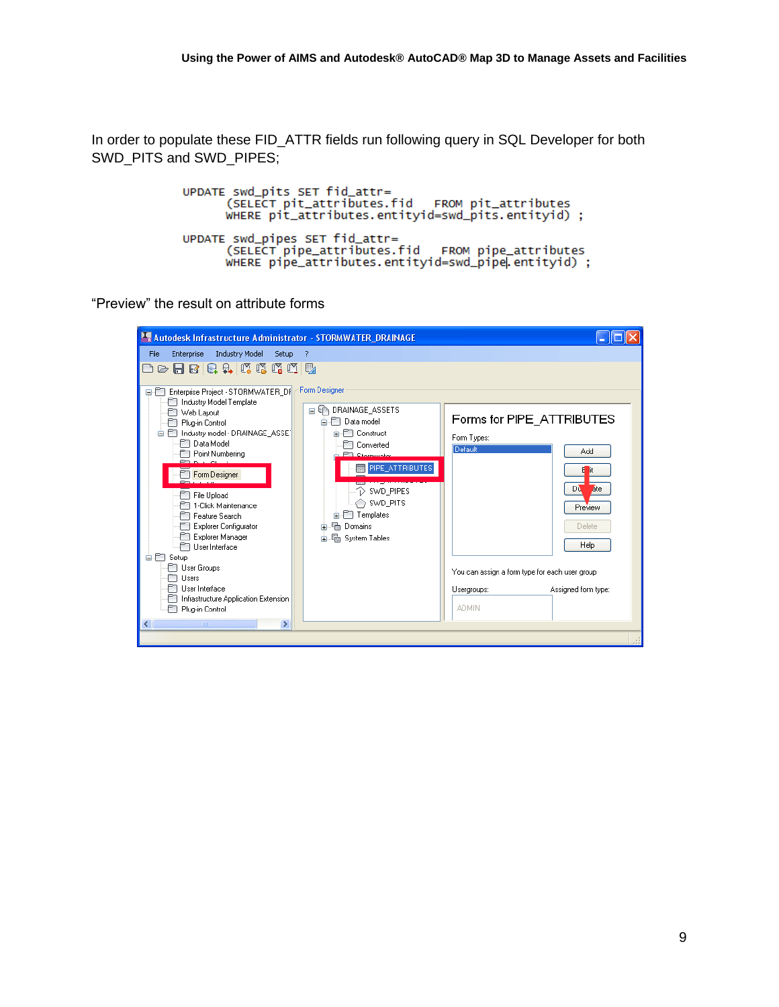In order to populate these FID\_ATTR fields run following query in SQL Developer for both SWD\_PITS and SWD\_PIPES;

```
UPDATE swd_pits SET fid_attr=
      (SELECT pit_attributes.fid
                                   FROM pit_attributes
      WHERE pit_attributes.entityid=swd_pits.entityid) ;
UPDATE swd_pipes SET fid_attr=
      (SELECT pipe_attributes.fid
                                    FROM pipe_attributes
      WHERE pipe_attributes.entityid=swd_pipe entityid);
```
"Preview" the result on attribute forms

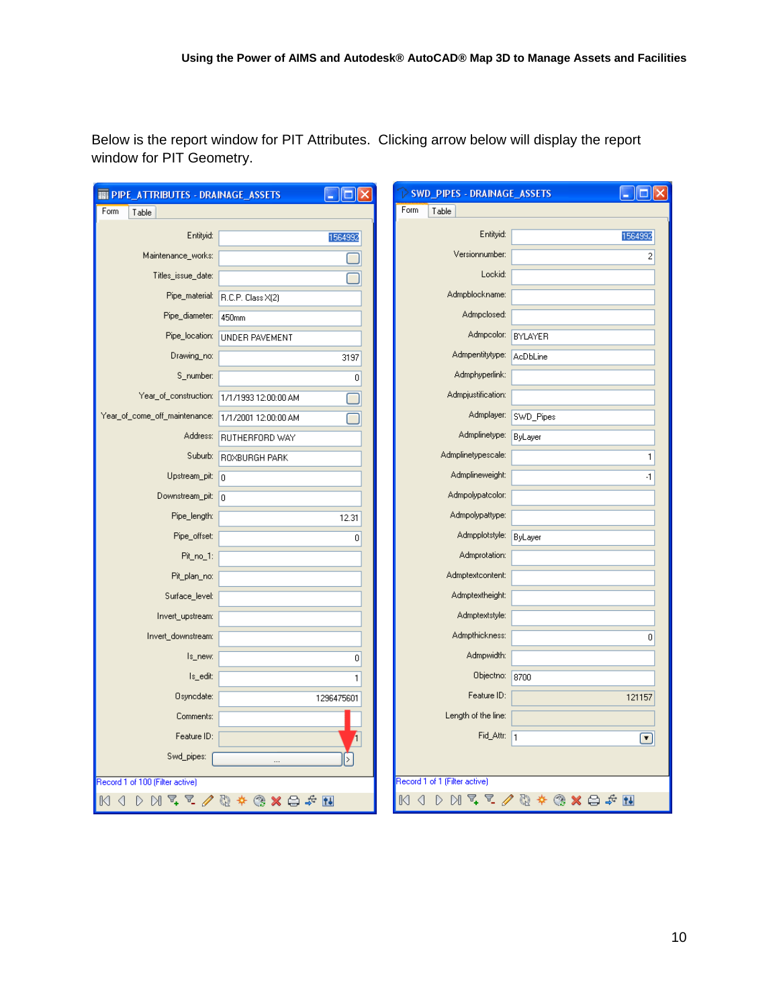Below is the report window for PIT Attributes. Clicking arrow below will display the report window for PIT Geometry.

| <b>THE PIPE_ATTRIBUTES - DRAINAGE_ASSETS</b>                                                                                                                                                                                                                                                                                                                                                                      | - 10                 | > SWD_PIPES - DRAINAGE_ASSETS |            |
|-------------------------------------------------------------------------------------------------------------------------------------------------------------------------------------------------------------------------------------------------------------------------------------------------------------------------------------------------------------------------------------------------------------------|----------------------|-------------------------------|------------|
| Form<br>Table                                                                                                                                                                                                                                                                                                                                                                                                     |                      | Form<br>Table                 |            |
| Entityid:                                                                                                                                                                                                                                                                                                                                                                                                         | 1564992              | Entityid:                     | 1564992    |
| Maintenance_works:                                                                                                                                                                                                                                                                                                                                                                                                |                      | Versionnumber:                | 2          |
| Titles_issue_date:                                                                                                                                                                                                                                                                                                                                                                                                |                      | Lockid:                       |            |
| Pipe_material:                                                                                                                                                                                                                                                                                                                                                                                                    | R.C.P. Class X(2)    | Admpblockname:                |            |
| Pipe_diameter:                                                                                                                                                                                                                                                                                                                                                                                                    | 450mm                | Admpclosed:                   |            |
| Pipe_location:                                                                                                                                                                                                                                                                                                                                                                                                    | UNDER PAVEMENT       | Admpcolor:                    | BYLAYER    |
| Drawing_no:                                                                                                                                                                                                                                                                                                                                                                                                       | 3197                 | Admpentitytype:               | AcDbLine   |
| S_number:                                                                                                                                                                                                                                                                                                                                                                                                         | 0                    | Admphyperlink:                |            |
| Year_of_construction:                                                                                                                                                                                                                                                                                                                                                                                             | 1/1/1993 12:00:00 AM | Admpjustification:            |            |
| Year_of_come_off_maintenance:                                                                                                                                                                                                                                                                                                                                                                                     | 1/1/2001 12:00:00 AM | Admplayer:                    | SWD_Pipes  |
| Address:                                                                                                                                                                                                                                                                                                                                                                                                          | RUTHERFORD WAY       | Admplinetype:                 | ByLayer    |
| Suburb:                                                                                                                                                                                                                                                                                                                                                                                                           | ROXBURGH PARK        | Admplinetypescale:            | 1          |
| Upstream_pit:                                                                                                                                                                                                                                                                                                                                                                                                     | 0                    | Admplineweight:               | $\cdot$ 1  |
| Downstream_pit: 0                                                                                                                                                                                                                                                                                                                                                                                                 |                      | Admpolypatcolor:              |            |
| Pipe_length:                                                                                                                                                                                                                                                                                                                                                                                                      | 12.31                | Admpolypattype:               |            |
| Pipe_offset:                                                                                                                                                                                                                                                                                                                                                                                                      | 0                    | Admpplotstyle:                | ByLayer    |
| Pit_no_1:                                                                                                                                                                                                                                                                                                                                                                                                         |                      | Admprotation:                 |            |
| Pit_plan_no:                                                                                                                                                                                                                                                                                                                                                                                                      |                      | Admptextcontent:              |            |
| Surface_level:                                                                                                                                                                                                                                                                                                                                                                                                    |                      | Admptextheight:               |            |
| Invert_upstream:                                                                                                                                                                                                                                                                                                                                                                                                  |                      | Admptextstyle:                |            |
| Invert_downstream:                                                                                                                                                                                                                                                                                                                                                                                                |                      | Admpthickness:                | 0          |
| Is_new:                                                                                                                                                                                                                                                                                                                                                                                                           | 0                    | Admpwidth:                    |            |
| Is_edit:                                                                                                                                                                                                                                                                                                                                                                                                          | $\mathbf{1}$         | Objectno:                     | 8700       |
| Osynodate:                                                                                                                                                                                                                                                                                                                                                                                                        | 1296475601           | Feature ID:                   | 121157     |
| Comments:                                                                                                                                                                                                                                                                                                                                                                                                         |                      | Length of the line:           |            |
| Feature ID:                                                                                                                                                                                                                                                                                                                                                                                                       |                      | Fid_Attr: 1                   | $\bm \Box$ |
| Swd_pipes:                                                                                                                                                                                                                                                                                                                                                                                                        |                      |                               |            |
| Record 1 of 100 (Filter active)                                                                                                                                                                                                                                                                                                                                                                                   |                      | Record 1 of 1 (Filter active) |            |
| $M$ w $\mathbb{Z}$ and $\mathbb{Z}$ and $\mathbb{Z}$ and $\mathbb{Z}$ and $\mathbb{Z}$ and $\mathbb{Z}$ and $\mathbb{Z}$ and $\mathbb{Z}$ and $\mathbb{Z}$ and $\mathbb{Z}$ and $\mathbb{Z}$ and $\mathbb{Z}$ and $\mathbb{Z}$ and $\mathbb{Z}$ and $\mathbb{Z}$ and $\mathbb{Z}$ and $\mathbb{Z}$<br>M <sub>0</sub><br>$D M \nsubseteq E$<br>M <sub>1</sub><br>Q<br>D<br>$-27$ $+6$<br>$\otimes \mathbf{x}$<br>⇔ |                      |                               |            |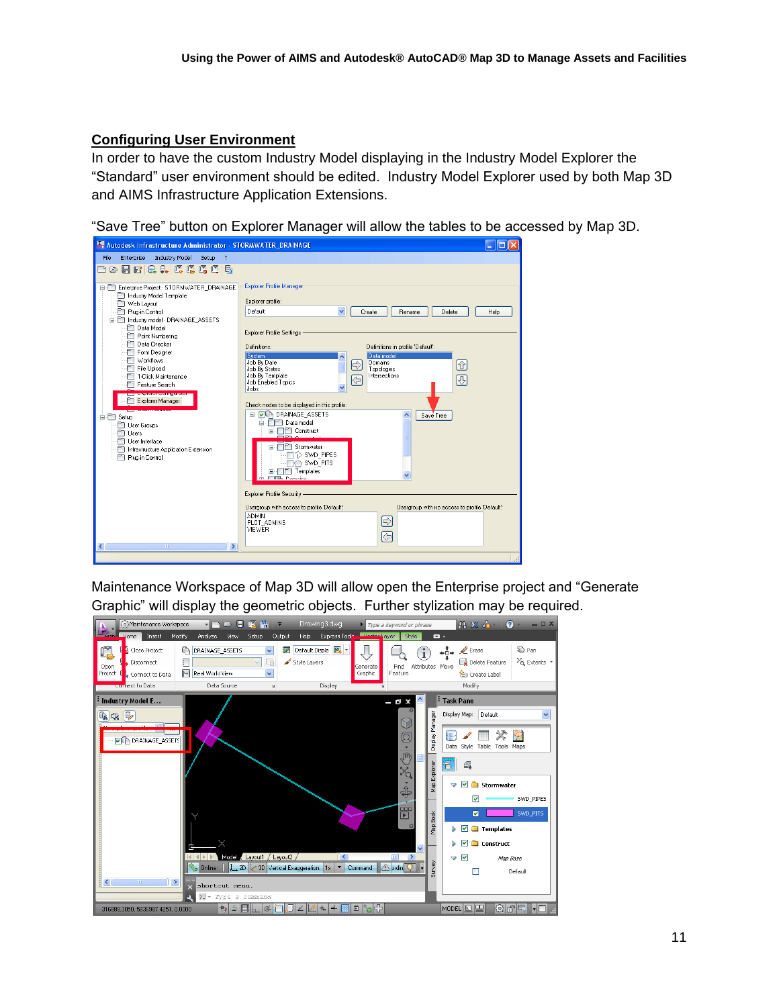# **Configuring User Environment**

In order to have the custom Industry Model displaying in the Industry Model Explorer the "Standard" user environment should be edited. Industry Model Explorer used by both Map 3D and AIMS Infrastructure Application Extensions.

"Save Tree" button on Explorer Manager will allow the tables to be accessed by Map 3D.

| Autodesk Infrastructure Administrator - STORMWATER_DRAINAGE                                                                                                                                                                                                                                                                                                                                                                                                                                                      |                                                                                                                                                                                                                                                                                                                                                                                                                                                                                                                                                                                                                                                          |  |  |  |
|------------------------------------------------------------------------------------------------------------------------------------------------------------------------------------------------------------------------------------------------------------------------------------------------------------------------------------------------------------------------------------------------------------------------------------------------------------------------------------------------------------------|----------------------------------------------------------------------------------------------------------------------------------------------------------------------------------------------------------------------------------------------------------------------------------------------------------------------------------------------------------------------------------------------------------------------------------------------------------------------------------------------------------------------------------------------------------------------------------------------------------------------------------------------------------|--|--|--|
| <b>Industry Model</b><br>File<br>Enterprise<br>Setup<br>$\overline{?}$<br>口中日因日本或虎虎山民                                                                                                                                                                                                                                                                                                                                                                                                                            |                                                                                                                                                                                                                                                                                                                                                                                                                                                                                                                                                                                                                                                          |  |  |  |
| Enterprise Project - STORMWATER DRAINAGE<br>efi<br>F Industry Model Template<br>Web Layout<br>Plug-in Control<br>a m<br>Industry model - DRAINAGE ASSETS<br>P Data Model<br>P Point Numbering<br>PT Data Checker<br>Form Designer<br>PT Workflows<br>File Upload<br>FT 1-Click Maintenance<br>Feature Search<br><b>The property of the contract of the contract</b><br>Explorer Manager<br><b>E</b> F Setup<br>User Groups<br>Users<br>User Interface<br>Infrastructure Application Extension<br>Plug-in Control | Explorer Profile Manager<br>Explorer profile:<br>Default<br>$\checkmark$<br>Rename<br>Delete<br>Help<br>Create<br>Explorer Profile Settings -<br>Definitions:<br>Definitions in profile 'Default':<br>Sustem<br>Data model<br>Job By Date<br>Domains<br>⊕<br>€<br>Topologies<br>Job By States<br>Job By Template<br>Intersections<br>四<br>$\overline{\mathbb{G}}$<br>Job Enabled Topics<br>$\ddotmark$<br>Jobs<br>Check nodes to be displayed in this profile:<br><b>VE DRAINAGE ASSETS</b><br>⊟<br>Save Tree<br>Data model<br>e Tr<br>Construct<br>Stornwater<br>$\mathcal{D}$ SWD PIPES<br>SWD PITS<br><b>T</b> Templates<br>Ėŀ<br><b>FIEL Domains</b> |  |  |  |
|                                                                                                                                                                                                                                                                                                                                                                                                                                                                                                                  | Explorer Profile Security -<br>Usergroup with no access to profile 'Default':<br>Usergroup with access to profile 'Default':<br><b>ADMIN</b><br>$\Rightarrow$<br>PLOT_ADMINS<br>VIEWER<br>(⇔                                                                                                                                                                                                                                                                                                                                                                                                                                                             |  |  |  |
| $\rightarrow$<br>$\left\langle \right\rangle$<br>mm.                                                                                                                                                                                                                                                                                                                                                                                                                                                             |                                                                                                                                                                                                                                                                                                                                                                                                                                                                                                                                                                                                                                                          |  |  |  |

Maintenance Workspace of Map 3D will allow open the Enterprise project and "Generate Graphic" will display the geometric objects. Further stylization may be required.

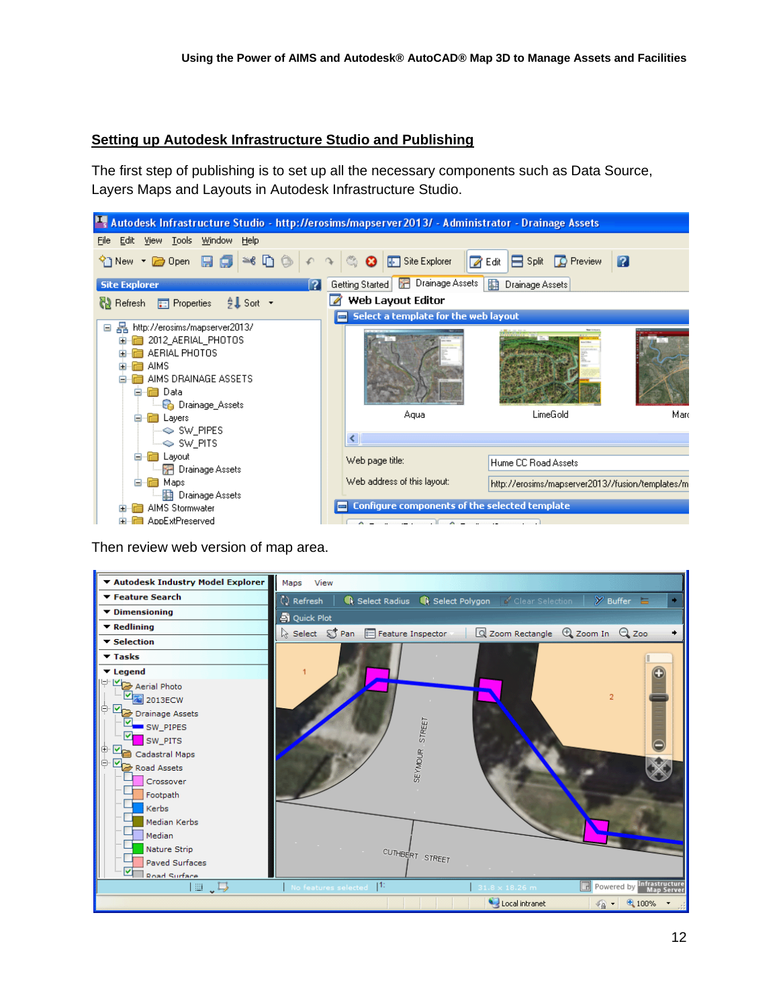#### **Setting up Autodesk Infrastructure Studio and Publishing**

The first step of publishing is to set up all the necessary components such as Data Source, Layers Maps and Layouts in Autodesk Infrastructure Studio.



Then review web version of map area.